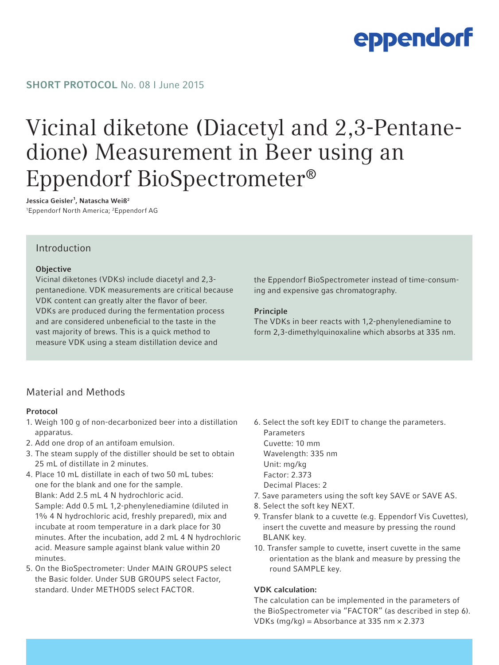# eppendorf

### SHORT PROTOCOL No. 08 | June 2015

# Vicinal diketone (Diacetyl and 2,3-Pentanedione) Measurement in Beer using an Eppendorf BioSpectrometer®

Jessica Geisler<sup>1</sup>, Natascha Weiß<sup>2</sup>

1 Eppendorf North America; 2 Eppendorf AG

### Introduction

#### **Objective**

Vicinal diketones (VDKs) include diacetyl and 2,3 pentanedione. VDK measurements are critical because VDK content can greatly alter the flavor of beer. VDKs are produced during the fermentation process and are considered unbeneficial to the taste in the vast majority of brews. This is a quick method to measure VDK using a steam distillation device and

the Eppendorf BioSpectrometer instead of time-consuming and expensive gas chromatography.

#### Principle

The VDKs in beer reacts with 1,2-phenylenediamine to form 2,3-dimethylquinoxaline which absorbs at 335 nm.

## Material and Methods

#### Protocol

- 1. Weigh 100 g of non-decarbonized beer into a distillation apparatus.
- 2. Add one drop of an antifoam emulsion.
- 3. The steam supply of the distiller should be set to obtain 25 mL of distillate in 2 minutes.
- 4. Place 10 mL distillate in each of two 50 mL tubes: one for the blank and one for the sample. Blank: Add 2.5 mL 4 N hydrochloric acid. Sample: Add 0.5 mL 1,2-phenylenediamine (diluted in 1% 4 N hydrochloric acid, freshly prepared), mix and incubate at room temperature in a dark place for 30 minutes. After the incubation, add 2 mL 4 N hydrochloric acid. Measure sample against blank value within 20 minutes.
- 5. On the BioSpectrometer: Under MAIN GROUPS select the Basic folder. Under SUB GROUPS select Factor, standard. Under METHODS select FACTOR.
- 6. Select the soft key EDIT to change the parameters. Parameters Cuvette: 10 mm Wavelength: 335 nm Unit: mg/kg Factor: 2.373 Decimal Places: 2
- 7. Save parameters using the soft key SAVE or SAVE AS.
- 8. Select the soft key NEXT.
- 9. Transfer blank to a cuvette (e.g. Eppendorf Vis Cuvettes), insert the cuvette and measure by pressing the round BLANK key.
- 10. Transfer sample to cuvette, insert cuvette in the same orientation as the blank and measure by pressing the round SAMPLE key.

#### VDK calculation:

The calculation can be implemented in the parameters of the BioSpectrometer via "FACTOR" (as described in step 6). VDKs (mg/kg) = Absorbance at 335 nm  $\times$  2.373